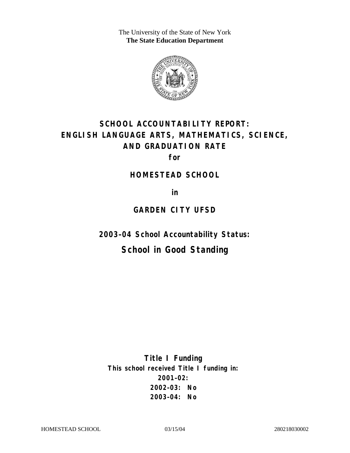The University of the State of New York **The State Education Department** 



# **SCHOOL ACCOUNTABILITY REPORT: ENGLISH LANGUAGE ARTS, MATHEMATICS, SCIENCE, AND GRADUATION RATE**

**for** 

#### **HOMESTEAD SCHOOL**

**in** 

### **GARDEN CITY UFSD**

**2003–04 School Accountability Status:** 

# **School in Good Standing**

**Title I Funding This school received Title I funding in: 2001–02: 2002–03: No 2003–04: No**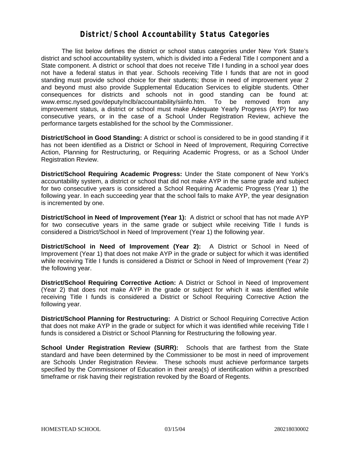#### **District/School Accountability Status Categories**

The list below defines the district or school status categories under New York State's district and school accountability system, which is divided into a Federal Title I component and a State component. A district or school that does not receive Title I funding in a school year does not have a federal status in that year. Schools receiving Title I funds that are not in good standing must provide school choice for their students; those in need of improvement year 2 and beyond must also provide Supplemental Education Services to eligible students. Other consequences for districts and schools not in good standing can be found at: www.emsc.nysed.gov/deputy/nclb/accountability/siinfo.htm. To be removed from any improvement status, a district or school must make Adequate Yearly Progress (AYP) for two consecutive years, or in the case of a School Under Registration Review, achieve the performance targets established for the school by the Commissioner.

**District/School in Good Standing:** A district or school is considered to be in good standing if it has not been identified as a District or School in Need of Improvement, Requiring Corrective Action, Planning for Restructuring, or Requiring Academic Progress, or as a School Under Registration Review.

**District/School Requiring Academic Progress:** Under the State component of New York's accountability system, a district or school that did not make AYP in the same grade and subject for two consecutive years is considered a School Requiring Academic Progress (Year 1) the following year. In each succeeding year that the school fails to make AYP, the year designation is incremented by one.

**District/School in Need of Improvement (Year 1):** A district or school that has not made AYP for two consecutive years in the same grade or subject while receiving Title I funds is considered a District/School in Need of Improvement (Year 1) the following year.

**District/School in Need of Improvement (Year 2):** A District or School in Need of Improvement (Year 1) that does not make AYP in the grade or subject for which it was identified while receiving Title I funds is considered a District or School in Need of Improvement (Year 2) the following year.

**District/School Requiring Corrective Action:** A District or School in Need of Improvement (Year 2) that does not make AYP in the grade or subject for which it was identified while receiving Title I funds is considered a District or School Requiring Corrective Action the following year.

**District/School Planning for Restructuring:** A District or School Requiring Corrective Action that does not make AYP in the grade or subject for which it was identified while receiving Title I funds is considered a District or School Planning for Restructuring the following year.

**School Under Registration Review (SURR):** Schools that are farthest from the State standard and have been determined by the Commissioner to be most in need of improvement are Schools Under Registration Review. These schools must achieve performance targets specified by the Commissioner of Education in their area(s) of identification within a prescribed timeframe or risk having their registration revoked by the Board of Regents.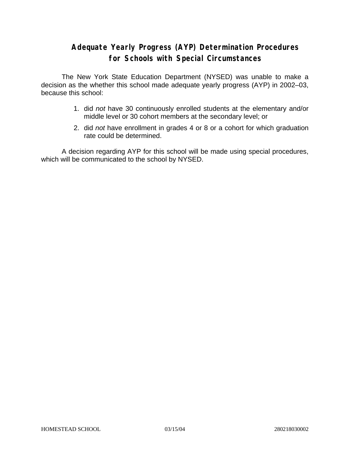## **Adequate Yearly Progress (AYP) Determination Procedures for Schools with Special Circumstances**

The New York State Education Department (NYSED) was unable to make a decision as the whether this school made adequate yearly progress (AYP) in 2002–03, because this school:

- 1. did *not* have 30 continuously enrolled students at the elementary and/or middle level or 30 cohort members at the secondary level; or
- 2. did *not* have enrollment in grades 4 or 8 or a cohort for which graduation rate could be determined.

A decision regarding AYP for this school will be made using special procedures, which will be communicated to the school by NYSED.